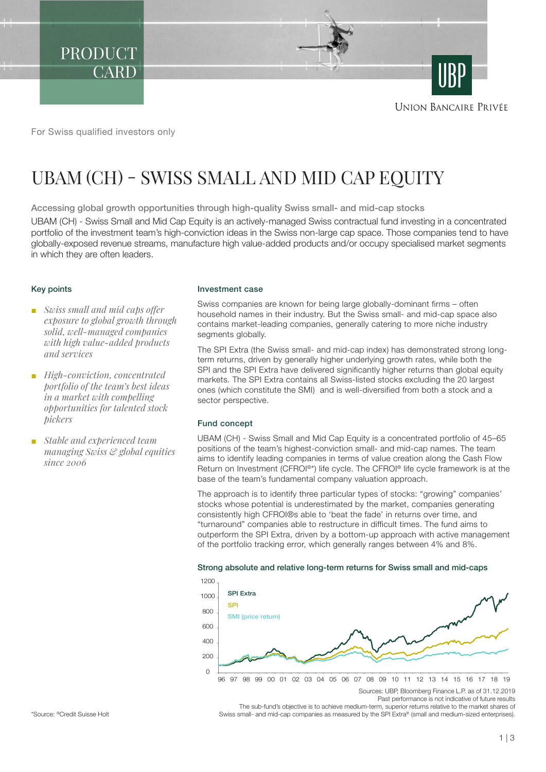PRODUCT **CARD** 

**UNION BANCAIRE PRIVÉE** 

For Swiss qualified investors only

# UBAM (CH) - SWISS SMALL AND MID CAP EQUITY

Accessing global growth opportunities through high-quality Swiss small- and mid-cap stocks

UBAM (CH) - Swiss Small and Mid Cap Equity is an actively-managed Swiss contractual fund investing in a concentrated portfolio of the investment team's high-conviction ideas in the Swiss non-large cap space. Those companies tend to have globally-exposed revenue streams, manufacture high value-added products and/or occupy specialised market segments in which they are often leaders.

### Key points

- *Swiss small and mid caps offer exposure to global growth through solid, well-managed companies with high value-added products and services*
- *High-conviction, concentrated portfolio of the team's best ideas in a market with compelling opportunities for talented stock pickers*
- *Stable and experienced team managing Swiss & global equities since 2006*

#### Investment case

Swiss companies are known for being large globally-dominant firms – often household names in their industry. But the Swiss small- and mid-cap space also contains market-leading companies, generally catering to more niche industry segments globally.

The SPI Extra (the Swiss small- and mid-cap index) has demonstrated strong longterm returns, driven by generally higher underlying growth rates, while both the SPI and the SPI Extra have delivered significantly higher returns than global equity markets. The SPI Extra contains all Swiss-listed stocks excluding the 20 largest ones (which constitute the SMI) and is well-diversified from both a stock and a sector perspective.

#### Fund concept

UBAM (CH) - Swiss Small and Mid Cap Equity is a concentrated portfolio of 45–65 positions of the team's highest-conviction small- and mid-cap names. The team aims to identify leading companies in terms of value creation along the Cash Flow Return on Investment (CFROI®\*) life cycle. The CFROI® life cycle framework is at the base of the team's fundamental company valuation approach.

The approach is to identify three particular types of stocks: "growing" companies' stocks whose potential is underestimated by the market, companies generating consistently high CFROI®s able to 'beat the fade' in returns over time, and "turnaround" companies able to restructure in difficult times. The fund aims to outperform the SPI Extra, driven by a bottom-up approach with active management of the portfolio tracking error, which generally ranges between 4% and 8%.

#### Strong absolute and relative long-term returns for Swiss small and mid-caps



Past performance is not indicative of future results

The sub-fund's objective is to achieve medium-term, superior returns relative to the market shares of Swiss small- and mid-cap companies as measured by the SPI Extra® (small and medium-sized enterprises).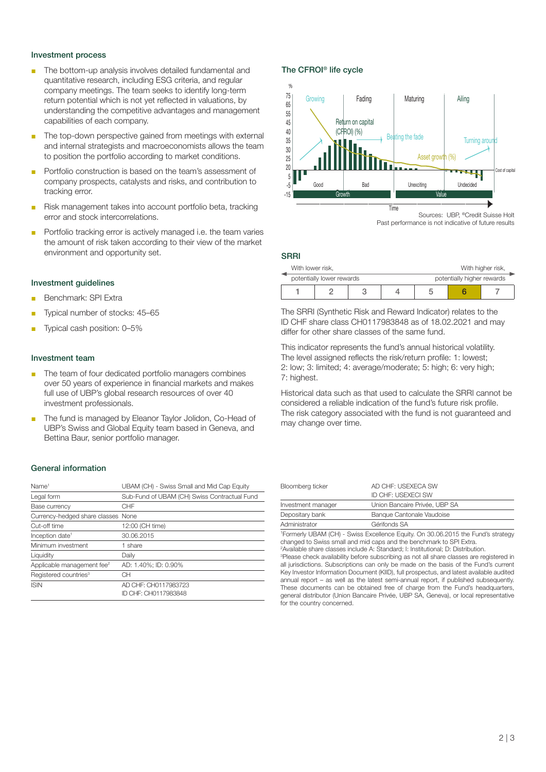## Investment process

- The bottom-up analysis involves detailed fundamental and quantitative research, including ESG criteria, and regular company meetings. The team seeks to identify long-term return potential which is not yet reflected in valuations, by understanding the competitive advantages and management capabilities of each company.
- The top-down perspective gained from meetings with external and internal strategists and macroeconomists allows the team to position the portfolio according to market conditions.
- Portfolio construction is based on the team's assessment of company prospects, catalysts and risks, and contribution to tracking error.
- Risk management takes into account portfolio beta, tracking error and stock intercorrelations.
- Portfolio tracking error is actively managed i.e. the team varies the amount of risk taken according to their view of the market environment and opportunity set.

#### Investment guidelines

- Benchmark: SPI Extra
- Typical number of stocks: 45-65
- Typical cash position: 0–5%

## Investment team

- The team of four dedicated portfolio managers combines over 50 years of experience in financial markets and makes full use of UBP's global research resources of over 40 investment professionals.
- The fund is managed by Eleanor Taylor Jolidon, Co-Head of UBP's Swiss and Global Equity team based in Geneva, and Bettina Baur, senior portfolio manager.

#### General information

| Name <sup>1</sup>                      | UBAM (CH) - Swiss Small and Mid Cap Equity   |
|----------------------------------------|----------------------------------------------|
| Legal form                             | Sub-Fund of UBAM (CH) Swiss Contractual Fund |
| Base currency                          | CHF                                          |
| Currency-hedged share classes None     |                                              |
| Cut-off time                           | 12:00 (CH time)                              |
| Inception date <sup>1</sup>            | 30.06.2015                                   |
| Minimum investment                     | 1 share                                      |
| Liquidity                              | Daily                                        |
| Applicable management fee <sup>2</sup> | AD: 1.40%: ID: 0.90%                         |
| Registered countries <sup>3</sup>      | CН                                           |
| <b>ISIN</b>                            | AD CHF: CH0117983723<br>ID CHF: CH0117983848 |

### The CFROI® life cycle



Past performance is not indicative of future results

#### SRRI

| With lower risk,          |  |  |  | With higher risk,          |  |  |
|---------------------------|--|--|--|----------------------------|--|--|
| potentially lower rewards |  |  |  | potentially higher rewards |  |  |
|                           |  |  |  |                            |  |  |

The SRRI (Synthetic Risk and Reward Indicator) relates to the ID CHF share class CH0117983848 as of 18.02.2021 and may differ for other share classes of the same fund.

This indicator represents the fund's annual historical volatility. The level assigned reflects the risk/return profile: 1: lowest; 2: low; 3: limited; 4: average/moderate; 5: high; 6: very high; 7: highest.

Historical data such as that used to calculate the SRRI cannot be considered a reliable indication of the fund's future risk profile. The risk category associated with the fund is not guaranteed and may change over time.

| Bloomberg ticker   | AD CHE: USEXECA SW<br><b>ID CHE: USEXECI SW</b> |  |  |
|--------------------|-------------------------------------------------|--|--|
| Investment manager | Union Bancaire Privée, UBP SA                   |  |  |
| Depositary bank    | Banque Cantonale Vaudoise                       |  |  |
| Administrator      | Gérifonds SA                                    |  |  |

1 Formerly UBAM (CH) - Swiss Excellence Equity. On 30.06.2015 the Fund's strategy changed to Swiss small and mid caps and the benchmark to SPI Extra.

2 Available share classes include A: Standard; I: Institutional; D: Distribution.

<sup>3</sup>Please check availability before subscribing as not all share classes are registered in all jurisdictions. Subscriptions can only be made on the basis of the Fund's current Key Investor Information Document (KIID), full prospectus, and latest available audited annual report – as well as the latest semi-annual report, if published subsequently. These documents can be obtained free of charge from the Fund's headquarters, general distributor (Union Bancaire Privée, UBP SA, Geneva), or local representative for the country concerned.